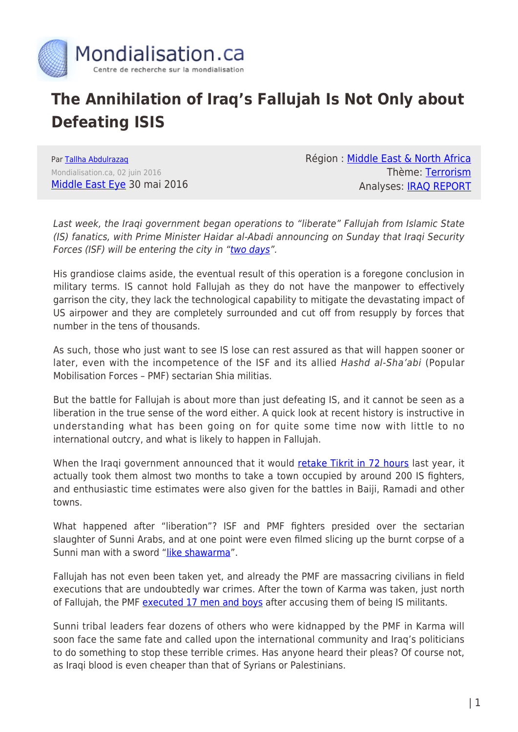

## **The Annihilation of Iraq's Fallujah Is Not Only about Defeating ISIS**

Par [Tallha Abdulrazaq](https://www.mondialisation.ca/author/tallha-abdulrazaq) Mondialisation.ca, 02 juin 2016 [Middle East Eye](http://www.middleeasteye.net/columns/annihilation-iraqs-fallujah-not-about-defeating-414005817) 30 mai 2016 Région : [Middle East & North Africa](https://www.mondialisation.ca/region/middle-east) Thème: [Terrorism](https://www.mondialisation.ca/theme/9-11-war-on-terrorism) Analyses: [IRAQ REPORT](https://www.mondialisation.ca/indepthreport/iraq-report)

Last week, the Iraqi government began operations to "liberate" Fallujah from Islamic State (IS) fanatics, with Prime Minister Haidar al-Abadi announcing on Sunday that Iraqi Security Forces (ISF) will be entering the city in "[two days](http://www.aljazeera.net/news/arabic/2016/5/29/%D8%A7%D9%84%D8%B9%D8%A8%D8%A7%D8%AF%D9%8A-%D8%A7%D9%84%D8%AC%D9%8A%D8%B4-%D8%B3%D9%8A%D8%AF%D8%AE%D9%84-%D8%A7%D9%84%D9%81%D9%84%D9%88%D8%AC%D8%A9-%D8%AE%D9%84%D8%A7%D9%84-%D9%8A%D9%88%D9%85%D9%8A%D9%86)".

His grandiose claims aside, the eventual result of this operation is a foregone conclusion in military terms. IS cannot hold Fallujah as they do not have the manpower to effectively garrison the city, they lack the technological capability to mitigate the devastating impact of US airpower and they are completely surrounded and cut off from resupply by forces that number in the tens of thousands.

As such, those who just want to see IS lose can rest assured as that will happen sooner or later, even with the incompetence of the ISF and its allied Hashd al-Sha'abi (Popular Mobilisation Forces – PMF) sectarian Shia militias.

But the battle for Fallujah is about more than just defeating IS, and it cannot be seen as a liberation in the true sense of the word either. A quick look at recent history is instructive in understanding what has been going on for quite some time now with little to no international outcry, and what is likely to happen in Fallujah.

When the Iraqi government announced that it would [retake Tikrit in 72 hours](http://www.aljazeera.com/news/2015/03/iraqi-forces-recapture-tikrit-72-hours-150314101959153.html) last year, it actually took them almost two months to take a town occupied by around 200 IS fighters, and enthusiastic time estimates were also given for the battles in Baiji, Ramadi and other towns.

What happened after "liberation"? ISF and PMF fighters presided over the sectarian slaughter of Sunni Arabs, and at one point were even filmed slicing up the burnt corpse of a Sunni man with a sword "[like shawarma](http://www.middleeasteye.net/news/video-iraq-shia-militiaman-cuts-burnt-corpse-shawarma-814719537)".

Fallujah has not even been taken yet, and already the PMF are massacring civilians in field executions that are undoubtedly war crimes. After the town of Karma was taken, just north of Fallujah, the PMF [executed 17 men and boys](http://www.aljazeera.net/news/arabic/2016/5/29/%D8%A7%D9%84%D8%AD%D8%B4%D8%AF-%D8%A7%D9%84%D8%B4%D8%B9%D8%A8%D9%8A-%D9%8A%D8%B9%D8%AF%D9%85-17-%D9%85%D8%AF%D9%86%D9%8A%D8%A7-%D9%82%D8%B1%D8%A8-%D8%A7%D9%84%D9%81%D9%84%D9%88%D8%AC%D8%A9) after accusing them of being IS militants.

Sunni tribal leaders fear dozens of others who were kidnapped by the PMF in Karma will soon face the same fate and called upon the international community and Iraq's politicians to do something to stop these terrible crimes. Has anyone heard their pleas? Of course not, as Iraqi blood is even cheaper than that of Syrians or Palestinians.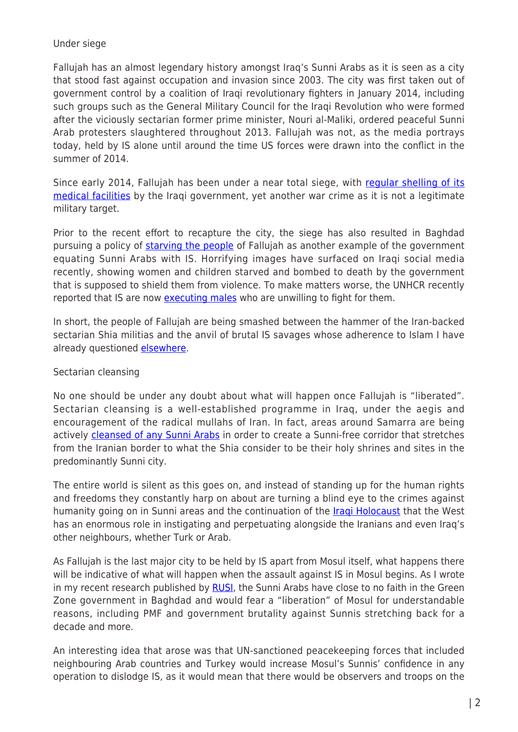## Under siege

Fallujah has an almost legendary history amongst Iraq's Sunni Arabs as it is seen as a city that stood fast against occupation and invasion since 2003. The city was first taken out of government control by a coalition of Iraqi revolutionary fighters in January 2014, including such groups such as the General Military Council for the Iraqi Revolution who were formed after the viciously sectarian former prime minister, Nouri al-Maliki, ordered peaceful Sunni Arab protesters slaughtered throughout 2013. Fallujah was not, as the media portrays today, held by IS alone until around the time US forces were drawn into the conflict in the summer of 2014.

Since early 2014, Fallujah has been under a near total siege, with [regular shelling of its](http://www.bbc.co.uk/news/world-middle-east-29198489) [medical facilities](http://www.bbc.co.uk/news/world-middle-east-29198489) by the Iraqi government, yet another war crime as it is not a legitimate military target.

Prior to the recent effort to recapture the city, the siege has also resulted in Baghdad pursuing a policy of [starving the people](https://www.hrw.org/news/2016/04/07/iraq-fallujah-siege-starving-population) of Fallujah as another example of the government equating Sunni Arabs with IS. Horrifying images have surfaced on Iraqi social media recently, showing women and children starved and bombed to death by the government that is supposed to shield them from violence. To make matters worse, the UNHCR recently reported that IS are now [executing males](http://www.un.org/apps/news/story.asp?NewsID=54070) who are unwilling to fight for them.

In short, the people of Fallujah are being smashed between the hammer of the Iran-backed sectarian Shia militias and the anvil of brutal IS savages whose adherence to Islam I have already questioned [elsewhere.](http://www.middleeasteye.net/columns/what-form-islam-do-these-terrorists-follow-1329240762)

## Sectarian cleansing

No one should be under any doubt about what will happen once Fallujah is "liberated". Sectarian cleansing is a well-established programme in Iraq, under the aegis and encouragement of the radical mullahs of Iran. In fact, areas around Samarra are being actively [cleansed of any Sunni Arabs](http://www.aljazeera.net/news/reportsandinterviews/2016/5/24/-%D8%B3%D8%B1%D8%AF%D8%A7%D8%A8-%D8%A7%D9%84%D9%85%D9%87%D8%AF%D9%8A-%D9%88%D8%B9%D9%84%D8%A7%D9%82%D8%AA%D9%87-%D8%A8%D8%A7%D9%84%D8%AA%D8%BA%D9%8A%D8%B1%D8%A7%D8%AA-%D8%A7%D9%84%D8%AF%D9%8A%D9%85%D8%BA%D8%B1%D8%A7%D9%81%D9%8A%D8%A9-%D8%A8%D8%A7%D9%84%D8%B9%D8%B1%D8%A7%D9%82) in order to create a Sunni-free corridor that stretches from the Iranian border to what the Shia consider to be their holy shrines and sites in the predominantly Sunni city.

The entire world is silent as this goes on, and instead of standing up for the human rights and freedoms they constantly harp on about are turning a blind eye to the crimes against humanity going on in Sunni areas and the continuation of the *Iragi Holocaust* that the West has an enormous role in instigating and perpetuating alongside the Iranians and even Iraq's other neighbours, whether Turk or Arab.

As Fallujah is the last major city to be held by IS apart from Mosul itself, what happens there will be indicative of what will happen when the assault against IS in Mosul begins. As I wrote in my recent research published by [RUSI,](https://rusi.org/publication/rusi-journal/day-after-what-expect-post-islamic-state-mosul) the Sunni Arabs have close to no faith in the Green Zone government in Baghdad and would fear a "liberation" of Mosul for understandable reasons, including PMF and government brutality against Sunnis stretching back for a decade and more.

An interesting idea that arose was that UN-sanctioned peacekeeping forces that included neighbouring Arab countries and Turkey would increase Mosul's Sunnis' confidence in any operation to dislodge IS, as it would mean that there would be observers and troops on the